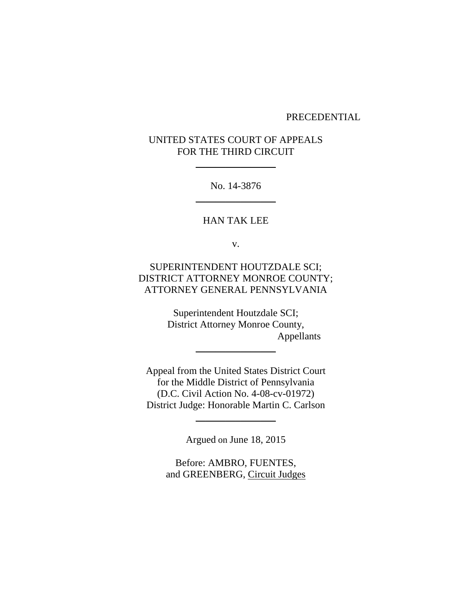#### PRECEDENTIAL

# UNITED STATES COURT OF APPEALS FOR THE THIRD CIRCUIT

 $\frac{1}{2}$ 

No. 14-3876  $\frac{1}{2}$ 

HAN TAK LEE

v.

SUPERINTENDENT HOUTZDALE SCI; DISTRICT ATTORNEY MONROE COUNTY; ATTORNEY GENERAL PENNSYLVANIA

> Superintendent Houtzdale SCI; District Attorney Monroe County, Appellants

Appeal from the United States District Court for the Middle District of Pennsylvania (D.C. Civil Action No. 4-08-cv-01972) District Judge: Honorable Martin C. Carlson

 $\frac{1}{2}$ 

Argued on June 18, 2015

\_\_\_\_\_\_\_\_\_\_\_\_\_\_\_\_

Before: AMBRO, FUENTES, and GREENBERG, Circuit Judges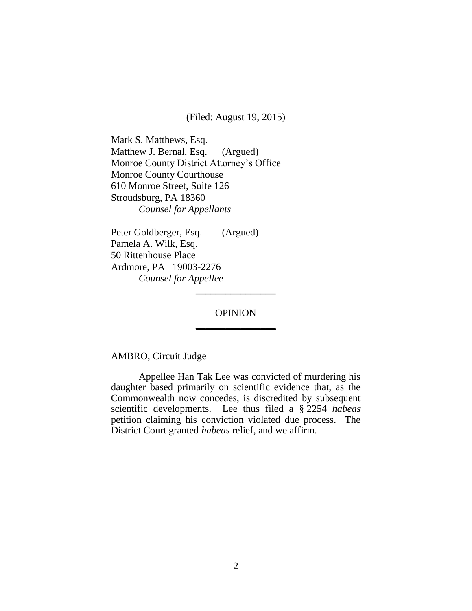(Filed: August 19, 2015)

Mark S. Matthews, Esq. Matthew J. Bernal, Esq. (Argued) Monroe County District Attorney's Office Monroe County Courthouse 610 Monroe Street, Suite 126 Stroudsburg, PA 18360 *Counsel for Appellants*

Peter Goldberger, Esq. (Argued) Pamela A. Wilk, Esq. 50 Rittenhouse Place Ardmore, PA 19003-2276 *Counsel for Appellee*

# **OPINION** \_\_\_\_\_\_\_\_\_\_\_\_\_\_\_\_

 $\frac{1}{2}$ 

# AMBRO, Circuit Judge

Appellee Han Tak Lee was convicted of murdering his daughter based primarily on scientific evidence that, as the Commonwealth now concedes, is discredited by subsequent scientific developments. Lee thus filed a § 2254 *habeas*  petition claiming his conviction violated due process. The District Court granted *habeas* relief, and we affirm.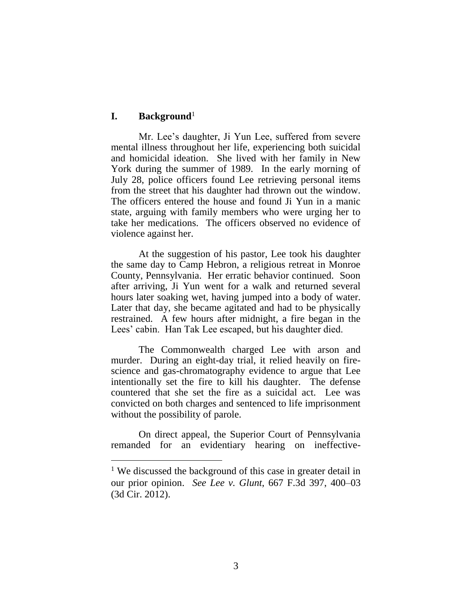## **I. Background**<sup>1</sup>

 $\overline{a}$ 

Mr. Lee's daughter, Ji Yun Lee, suffered from severe mental illness throughout her life, experiencing both suicidal and homicidal ideation. She lived with her family in New York during the summer of 1989. In the early morning of July 28, police officers found Lee retrieving personal items from the street that his daughter had thrown out the window. The officers entered the house and found Ji Yun in a manic state, arguing with family members who were urging her to take her medications. The officers observed no evidence of violence against her.

At the suggestion of his pastor, Lee took his daughter the same day to Camp Hebron, a religious retreat in Monroe County, Pennsylvania. Her erratic behavior continued. Soon after arriving, Ji Yun went for a walk and returned several hours later soaking wet, having jumped into a body of water. Later that day, she became agitated and had to be physically restrained. A few hours after midnight, a fire began in the Lees' cabin. Han Tak Lee escaped, but his daughter died.

The Commonwealth charged Lee with arson and murder. During an eight-day trial, it relied heavily on firescience and gas-chromatography evidence to argue that Lee intentionally set the fire to kill his daughter. The defense countered that she set the fire as a suicidal act. Lee was convicted on both charges and sentenced to life imprisonment without the possibility of parole.

On direct appeal, the Superior Court of Pennsylvania remanded for an evidentiary hearing on ineffective-

<sup>&</sup>lt;sup>1</sup> We discussed the background of this case in greater detail in our prior opinion. *See Lee v. Glunt*, 667 F.3d 397, 400–03 (3d Cir. 2012).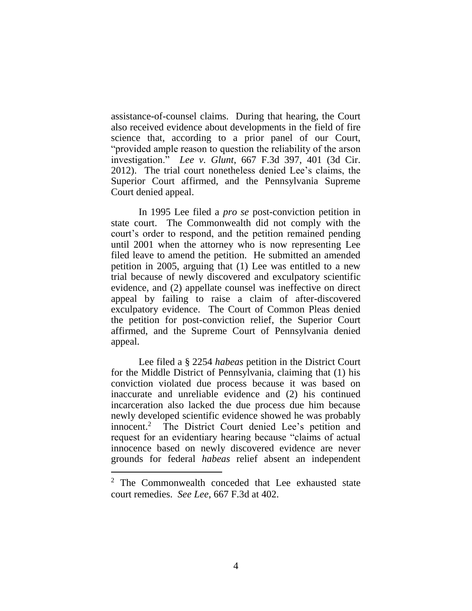assistance-of-counsel claims. During that hearing, the Court also received evidence about developments in the field of fire science that, according to a prior panel of our Court, "provided ample reason to question the reliability of the arson investigation." *Lee v. Glunt*, 667 F.3d 397, 401 (3d Cir. 2012). The trial court nonetheless denied Lee's claims, the Superior Court affirmed, and the Pennsylvania Supreme Court denied appeal.

In 1995 Lee filed a *pro se* post-conviction petition in state court. The Commonwealth did not comply with the court's order to respond, and the petition remained pending until 2001 when the attorney who is now representing Lee filed leave to amend the petition. He submitted an amended petition in 2005, arguing that (1) Lee was entitled to a new trial because of newly discovered and exculpatory scientific evidence, and (2) appellate counsel was ineffective on direct appeal by failing to raise a claim of after-discovered exculpatory evidence. The Court of Common Pleas denied the petition for post-conviction relief, the Superior Court affirmed, and the Supreme Court of Pennsylvania denied appeal.

Lee filed a § 2254 *habeas* petition in the District Court for the Middle District of Pennsylvania, claiming that (1) his conviction violated due process because it was based on inaccurate and unreliable evidence and (2) his continued incarceration also lacked the due process due him because newly developed scientific evidence showed he was probably innocent.<sup>2</sup> The District Court denied Lee's petition and request for an evidentiary hearing because "claims of actual innocence based on newly discovered evidence are never grounds for federal *habeas* relief absent an independent

 $\overline{a}$ 

<sup>&</sup>lt;sup>2</sup> The Commonwealth conceded that Lee exhausted state court remedies. *See Lee*, 667 F.3d at 402.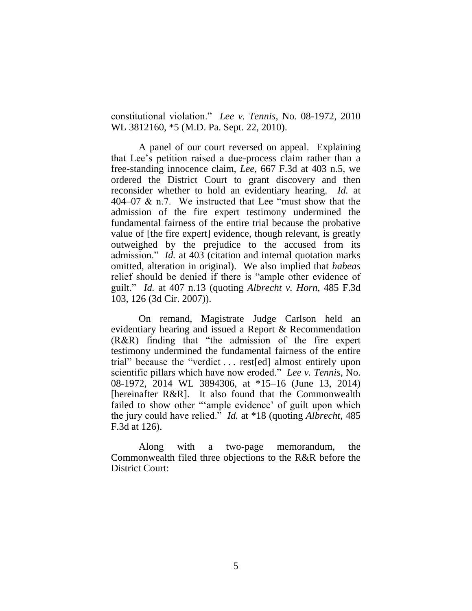constitutional violation." *Lee v. Tennis*, No. 08-1972, 2010 WL 3812160, \*5 (M.D. Pa. Sept. 22, 2010).

A panel of our court reversed on appeal. Explaining that Lee's petition raised a due-process claim rather than a free-standing innocence claim, *Lee*, 667 F.3d at 403 n.5, we ordered the District Court to grant discovery and then reconsider whether to hold an evidentiary hearing. *Id.* at 404–07 & n.7. We instructed that Lee "must show that the admission of the fire expert testimony undermined the fundamental fairness of the entire trial because the probative value of [the fire expert] evidence, though relevant, is greatly outweighed by the prejudice to the accused from its admission." *Id.* at 403 (citation and internal quotation marks omitted, alteration in original). We also implied that *habeas* relief should be denied if there is "ample other evidence of guilt." *Id.* at 407 n.13 (quoting *Albrecht v. Horn*, 485 F.3d 103, 126 (3d Cir. 2007)).

On remand, Magistrate Judge Carlson held an evidentiary hearing and issued a Report & Recommendation (R&R) finding that "the admission of the fire expert testimony undermined the fundamental fairness of the entire trial" because the "verdict . . . rest[ed] almost entirely upon scientific pillars which have now eroded." *Lee v. Tennis*, No. 08-1972, 2014 WL 3894306, at \*15–16 (June 13, 2014) [hereinafter R&R]. It also found that the Commonwealth failed to show other "'ample evidence' of guilt upon which the jury could have relied." *Id.* at \*18 (quoting *Albrecht*, 485 F.3d at 126).

Along with a two-page memorandum, the Commonwealth filed three objections to the R&R before the District Court: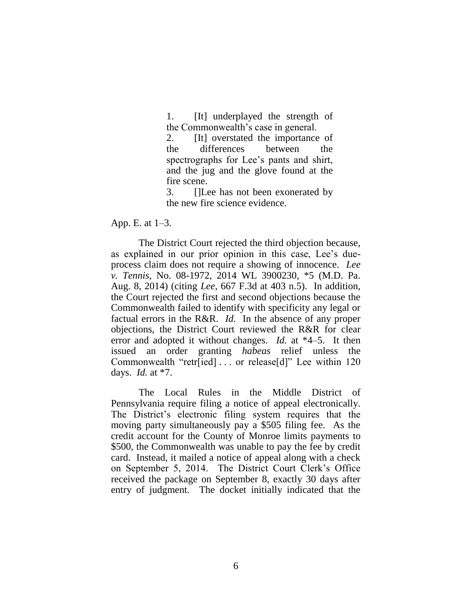1. [It] underplayed the strength of the Commonwealth's case in general.

2. [It] overstated the importance of the differences between the spectrographs for Lee's pants and shirt, and the jug and the glove found at the fire scene.

3. []Lee has not been exonerated by the new fire science evidence.

#### App. E. at 1–3.

The District Court rejected the third objection because, as explained in our prior opinion in this case, Lee's dueprocess claim does not require a showing of innocence. *Lee v. Tennis*, No. 08-1972, 2014 WL 3900230, \*5 (M.D. Pa. Aug. 8, 2014) (citing *Lee*, 667 F.3d at 403 n.5). In addition, the Court rejected the first and second objections because the Commonwealth failed to identify with specificity any legal or factual errors in the R&R. *Id.* In the absence of any proper objections, the District Court reviewed the R&R for clear error and adopted it without changes. *Id.* at \*4–5. It then issued an order granting *habeas* relief unless the Commonwealth "retr[ied] . . . or release[d]" Lee within 120 days. *Id.* at \*7.

The Local Rules in the Middle District of Pennsylvania require filing a notice of appeal electronically. The District's electronic filing system requires that the moving party simultaneously pay a \$505 filing fee. As the credit account for the County of Monroe limits payments to \$500, the Commonwealth was unable to pay the fee by credit card. Instead, it mailed a notice of appeal along with a check on September 5, 2014. The District Court Clerk's Office received the package on September 8, exactly 30 days after entry of judgment. The docket initially indicated that the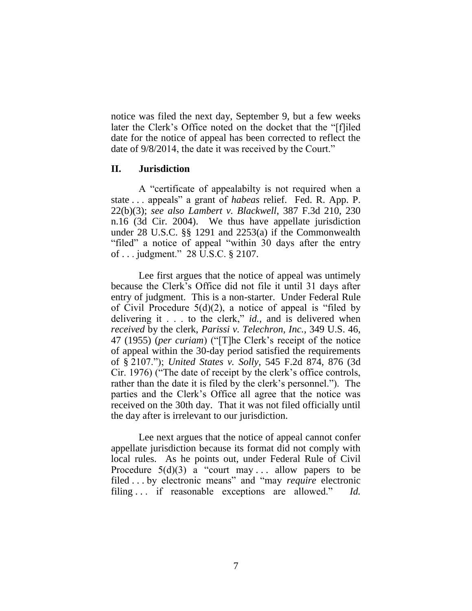notice was filed the next day, September 9, but a few weeks later the Clerk's Office noted on the docket that the "[f]iled date for the notice of appeal has been corrected to reflect the date of 9/8/2014, the date it was received by the Court."

#### **II. Jurisdiction**

A "certificate of appealabilty is not required when a state . . . appeals" a grant of *habeas* relief. Fed. R. App. P. 22(b)(3); *see also Lambert v. Blackwell*, 387 F.3d 210, 230 n.16 (3d Cir. 2004). We thus have appellate jurisdiction under 28 U.S.C. §§ 1291 and 2253(a) if the Commonwealth "filed" a notice of appeal "within 30 days after the entry of . . . judgment." 28 U.S.C. § 2107.

Lee first argues that the notice of appeal was untimely because the Clerk's Office did not file it until 31 days after entry of judgment. This is a non-starter. Under Federal Rule of Civil Procedure  $5(d)(2)$ , a notice of appeal is "filed by delivering it . . . to the clerk," *id.*, and is delivered when *received* by the clerk, *Parissi v. Telechron, Inc.*, 349 U.S. 46, 47 (1955) (*per curiam*) ("[T]he Clerk's receipt of the notice of appeal within the 30-day period satisfied the requirements of § 2107."); *United States v. Solly*, 545 F.2d 874, 876 (3d Cir. 1976) ("The date of receipt by the clerk's office controls, rather than the date it is filed by the clerk's personnel."). The parties and the Clerk's Office all agree that the notice was received on the 30th day. That it was not filed officially until the day after is irrelevant to our jurisdiction.

Lee next argues that the notice of appeal cannot confer appellate jurisdiction because its format did not comply with local rules. As he points out, under Federal Rule of Civil Procedure  $5(d)(3)$  a "court may ... allow papers to be filed . . . by electronic means" and "may *require* electronic filing . . . if reasonable exceptions are allowed." *Id.*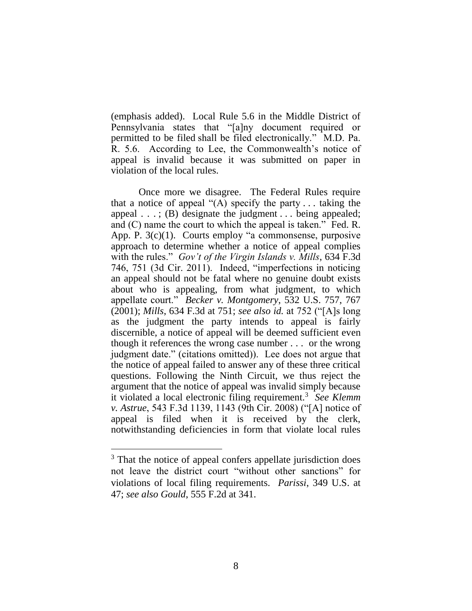(emphasis added). Local Rule 5.6 in the Middle District of Pennsylvania states that "[a]ny document required or permitted to be filed shall be filed electronically." M.D. Pa. R. 5.6. According to Lee, the Commonwealth's notice of appeal is invalid because it was submitted on paper in violation of the local rules.

Once more we disagree. The Federal Rules require that a notice of appeal " $(A)$  specify the party ... taking the appeal . . . ; (B) designate the judgment . . . being appealed; and (C) name the court to which the appeal is taken." Fed. R. App. P. 3(c)(1). Courts employ "a commonsense, purposive approach to determine whether a notice of appeal complies with the rules." *Gov't of the Virgin Islands v. Mills*, 634 F.3d 746, 751 (3d Cir. 2011). Indeed, "imperfections in noticing an appeal should not be fatal where no genuine doubt exists about who is appealing, from what judgment, to which appellate court." *Becker v. Montgomery*, 532 U.S. 757, 767 (2001); *Mills*, 634 F.3d at 751; *see also id.* at 752 ("[A]s long as the judgment the party intends to appeal is fairly discernible, a notice of appeal will be deemed sufficient even though it references the wrong case number . . . or the wrong judgment date." (citations omitted)). Lee does not argue that the notice of appeal failed to answer any of these three critical questions. Following the Ninth Circuit, we thus reject the argument that the notice of appeal was invalid simply because it violated a local electronic filing requirement.<sup>3</sup> *See Klemm v. Astrue*, 543 F.3d 1139, 1143 (9th Cir. 2008) ("[A] notice of appeal is filed when it is received by the clerk, notwithstanding deficiencies in form that violate local rules

 $\overline{a}$ 

<sup>&</sup>lt;sup>3</sup> That the notice of appeal confers appellate jurisdiction does not leave the district court "without other sanctions" for violations of local filing requirements. *Parissi*, 349 U.S. at 47; *see also Gould*, 555 F.2d at 341.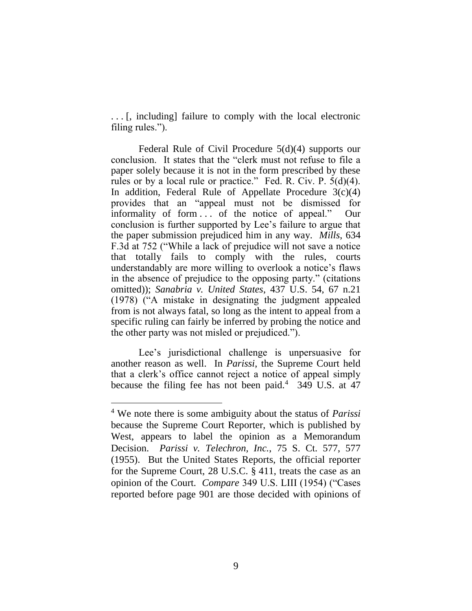. . . [, including] failure to comply with the local electronic filing rules.").

Federal Rule of Civil Procedure 5(d)(4) supports our conclusion. It states that the "clerk must not refuse to file a paper solely because it is not in the form prescribed by these rules or by a local rule or practice." Fed. R. Civ. P. 5(d)(4). In addition, Federal Rule of Appellate Procedure  $3(c)(4)$ provides that an "appeal must not be dismissed for informality of form . . . of the notice of appeal." Our conclusion is further supported by Lee's failure to argue that the paper submission prejudiced him in any way. *Mills*, 634 F.3d at 752 ("While a lack of prejudice will not save a notice that totally fails to comply with the rules, courts understandably are more willing to overlook a notice's flaws in the absence of prejudice to the opposing party." (citations omitted)); *Sanabria v. United States*, 437 U.S. 54, 67 n.21 (1978) ("A mistake in designating the judgment appealed from is not always fatal, so long as the intent to appeal from a specific ruling can fairly be inferred by probing the notice and the other party was not misled or prejudiced.").

Lee's jurisdictional challenge is unpersuasive for another reason as well. In *Parissi*, the Supreme Court held that a clerk's office cannot reject a notice of appeal simply because the filing fee has not been paid.<sup>4</sup> 349 U.S. at  $47$ 

 $\overline{a}$ 

<sup>4</sup> We note there is some ambiguity about the status of *Parissi* because the Supreme Court Reporter, which is published by West, appears to label the opinion as a Memorandum Decision. *Parissi v. Telechron, Inc.*, 75 S. Ct. 577, 577 (1955). But the United States Reports, the official reporter for the Supreme Court, 28 U.S.C. § 411, treats the case as an opinion of the Court. *Compare* 349 U.S. LIII (1954) ("Cases reported before page 901 are those decided with opinions of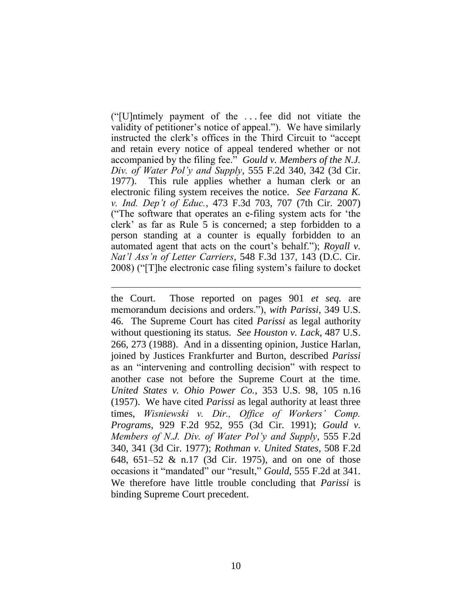("[U]ntimely payment of the . . . fee did not vitiate the validity of petitioner's notice of appeal."). We have similarly instructed the clerk's offices in the Third Circuit to "accept and retain every notice of appeal tendered whether or not accompanied by the filing fee." *Gould v. Members of the N.J. Div. of Water Pol'y and Supply*, 555 F.2d 340, 342 (3d Cir. 1977). This rule applies whether a human clerk or an electronic filing system receives the notice. *See Farzana K. v. Ind. Dep't of Educ.*, 473 F.3d 703, 707 (7th Cir. 2007) ("The software that operates an e-filing system acts for 'the clerk' as far as Rule 5 is concerned; a step forbidden to a person standing at a counter is equally forbidden to an automated agent that acts on the court's behalf."); *Royall v. Nat'l Ass'n of Letter Carriers*, 548 F.3d 137, 143 (D.C. Cir. 2008) ("[T]he electronic case filing system's failure to docket

 $\overline{a}$ 

the Court. Those reported on pages 901 *et seq.* are memorandum decisions and orders."), *with Parissi*, 349 U.S. 46. The Supreme Court has cited *Parissi* as legal authority without questioning its status. *See Houston v. Lack*, 487 U.S. 266, 273 (1988). And in a dissenting opinion, Justice Harlan, joined by Justices Frankfurter and Burton, described *Parissi* as an "intervening and controlling decision" with respect to another case not before the Supreme Court at the time. *United States v. Ohio Power Co.*, 353 U.S. 98, 105 n.16 (1957). We have cited *Parissi* as legal authority at least three times, *Wisniewski v. Dir., Office of Workers' Comp. Programs*, 929 F.2d 952, 955 (3d Cir. 1991); *Gould v. Members of N.J. Div. of Water Pol'y and Supply*, 555 F.2d 340, 341 (3d Cir. 1977); *Rothman v. United States*, 508 F.2d 648, 651–52 & n.17 (3d Cir. 1975), and on one of those occasions it "mandated" our "result," *Gould*, 555 F.2d at 341. We therefore have little trouble concluding that *Parissi* is binding Supreme Court precedent.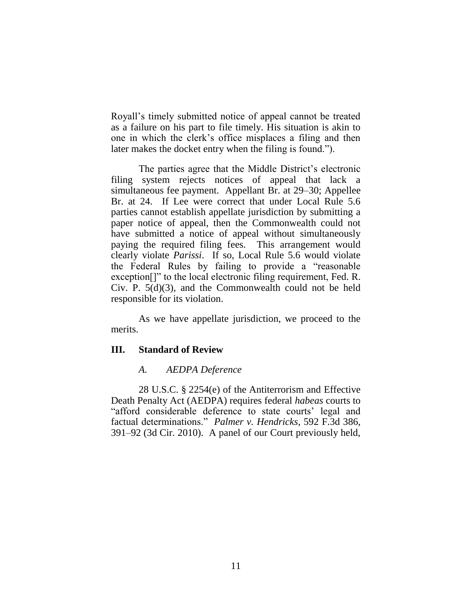Royall's timely submitted notice of appeal cannot be treated as a failure on his part to file timely. His situation is akin to one in which the clerk's office misplaces a filing and then later makes the docket entry when the filing is found.").

The parties agree that the Middle District's electronic filing system rejects notices of appeal that lack a simultaneous fee payment. Appellant Br. at 29–30; Appellee Br. at 24. If Lee were correct that under Local Rule 5.6 parties cannot establish appellate jurisdiction by submitting a paper notice of appeal, then the Commonwealth could not have submitted a notice of appeal without simultaneously paying the required filing fees. This arrangement would clearly violate *Parissi*. If so, Local Rule 5.6 would violate the Federal Rules by failing to provide a "reasonable exception[]" to the local electronic filing requirement, Fed. R. Civ. P. 5(d)(3), and the Commonwealth could not be held responsible for its violation.

As we have appellate jurisdiction, we proceed to the merits.

## **III. Standard of Review**

## *A. AEDPA Deference*

28 U.S.C. § 2254(e) of the Antiterrorism and Effective Death Penalty Act (AEDPA) requires federal *habeas* courts to "afford considerable deference to state courts' legal and factual determinations." *Palmer v. Hendricks*, 592 F.3d 386, 391–92 (3d Cir. 2010). A panel of our Court previously held,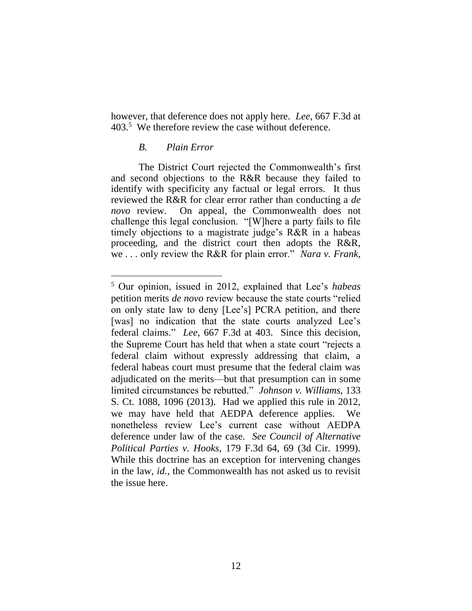however, that deference does not apply here. *Lee*, 667 F.3d at 403.<sup>5</sup> We therefore review the case without deference.

#### *B. Plain Error*

The District Court rejected the Commonwealth's first and second objections to the R&R because they failed to identify with specificity any factual or legal errors. It thus reviewed the R&R for clear error rather than conducting a *de novo* review. On appeal, the Commonwealth does not challenge this legal conclusion. "[W]here a party fails to file timely objections to a magistrate judge's R&R in a habeas proceeding, and the district court then adopts the R&R, we . . . only review the R&R for plain error." *Nara v. Frank*,

<sup>5</sup> Our opinion, issued in 2012, explained that Lee's *habeas* petition merits *de novo* review because the state courts "relied on only state law to deny [Lee's] PCRA petition, and there [was] no indication that the state courts analyzed Lee's federal claims." *Lee*, 667 F.3d at 403. Since this decision, the Supreme Court has held that when a state court "rejects a federal claim without expressly addressing that claim, a federal habeas court must presume that the federal claim was adjudicated on the merits—but that presumption can in some limited circumstances be rebutted." *Johnson v. Williams*, 133 S. Ct. 1088, 1096 (2013). Had we applied this rule in 2012, we may have held that AEDPA deference applies. We nonetheless review Lee's current case without AEDPA deference under law of the case. *See Council of Alternative Political Parties v. Hooks*, 179 F.3d 64, 69 (3d Cir. 1999). While this doctrine has an exception for intervening changes in the law, *id.*, the Commonwealth has not asked us to revisit the issue here.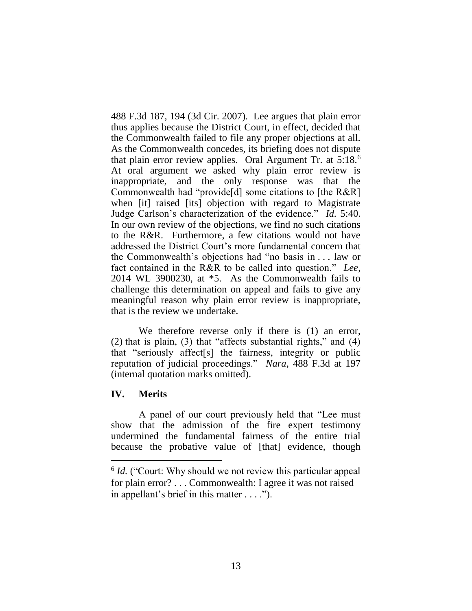488 F.3d 187, 194 (3d Cir. 2007). Lee argues that plain error thus applies because the District Court, in effect, decided that the Commonwealth failed to file any proper objections at all. As the Commonwealth concedes, its briefing does not dispute that plain error review applies. Oral Argument Tr. at  $5.18<sup>6</sup>$ At oral argument we asked why plain error review is inappropriate, and the only response was that the Commonwealth had "provide[d] some citations to [the R&R] when [it] raised [its] objection with regard to Magistrate Judge Carlson's characterization of the evidence." *Id.* 5:40. In our own review of the objections, we find no such citations to the R&R. Furthermore, a few citations would not have addressed the District Court's more fundamental concern that the Commonwealth's objections had "no basis in . . . law or fact contained in the R&R to be called into question." *Lee*, 2014 WL 3900230, at \*5. As the Commonwealth fails to challenge this determination on appeal and fails to give any meaningful reason why plain error review is inappropriate, that is the review we undertake.

We therefore reverse only if there is  $(1)$  an error, (2) that is plain, (3) that "affects substantial rights," and (4) that "seriously affect[s] the fairness, integrity or public reputation of judicial proceedings." *Nara*, 488 F.3d at 197 (internal quotation marks omitted).

# **IV. Merits**

 $\overline{a}$ 

A panel of our court previously held that "Lee must show that the admission of the fire expert testimony undermined the fundamental fairness of the entire trial because the probative value of [that] evidence, though

<sup>&</sup>lt;sup>6</sup> *Id.* ("Court: Why should we not review this particular appeal for plain error? . . . Commonwealth: I agree it was not raised in appellant's brief in this matter . . . .").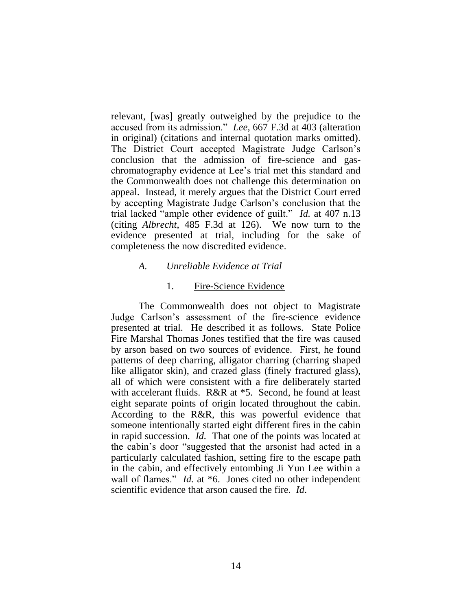relevant, [was] greatly outweighed by the prejudice to the accused from its admission." *Lee*, 667 F.3d at 403 (alteration in original) (citations and internal quotation marks omitted). The District Court accepted Magistrate Judge Carlson's conclusion that the admission of fire-science and gaschromatography evidence at Lee's trial met this standard and the Commonwealth does not challenge this determination on appeal. Instead, it merely argues that the District Court erred by accepting Magistrate Judge Carlson's conclusion that the trial lacked "ample other evidence of guilt." *Id.* at 407 n.13 (citing *Albrecht*, 485 F.3d at 126). We now turn to the evidence presented at trial, including for the sake of completeness the now discredited evidence.

## *A. Unreliable Evidence at Trial*

## 1. Fire-Science Evidence

The Commonwealth does not object to Magistrate Judge Carlson's assessment of the fire-science evidence presented at trial. He described it as follows. State Police Fire Marshal Thomas Jones testified that the fire was caused by arson based on two sources of evidence. First, he found patterns of deep charring, alligator charring (charring shaped like alligator skin), and crazed glass (finely fractured glass), all of which were consistent with a fire deliberately started with accelerant fluids. R&R at \*5. Second, he found at least eight separate points of origin located throughout the cabin. According to the R&R, this was powerful evidence that someone intentionally started eight different fires in the cabin in rapid succession. *Id.* That one of the points was located at the cabin's door "suggested that the arsonist had acted in a particularly calculated fashion, setting fire to the escape path in the cabin, and effectively entombing Ji Yun Lee within a wall of flames." *Id.* at \*6. Jones cited no other independent scientific evidence that arson caused the fire. *Id*.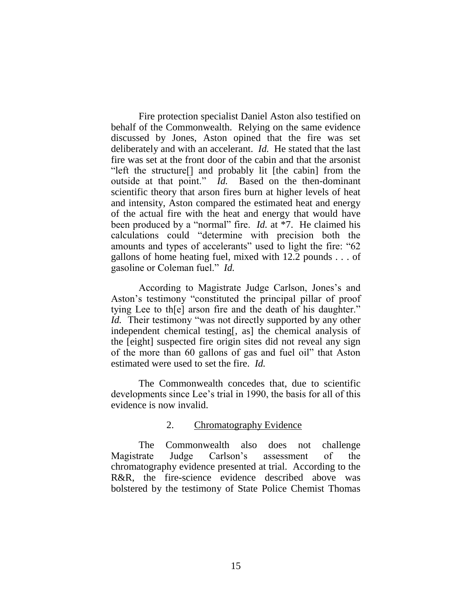Fire protection specialist Daniel Aston also testified on behalf of the Commonwealth. Relying on the same evidence discussed by Jones, Aston opined that the fire was set deliberately and with an accelerant. *Id.* He stated that the last fire was set at the front door of the cabin and that the arsonist "left the structure[] and probably lit [the cabin] from the outside at that point." *Id.* Based on the then-dominant scientific theory that arson fires burn at higher levels of heat and intensity, Aston compared the estimated heat and energy of the actual fire with the heat and energy that would have been produced by a "normal" fire. *Id.* at \*7. He claimed his calculations could "determine with precision both the amounts and types of accelerants" used to light the fire: "62 gallons of home heating fuel, mixed with 12.2 pounds . . . of gasoline or Coleman fuel." *Id.*

According to Magistrate Judge Carlson, Jones's and Aston's testimony "constituted the principal pillar of proof tying Lee to th[e] arson fire and the death of his daughter." *Id.* Their testimony "was not directly supported by any other independent chemical testing[, as] the chemical analysis of the [eight] suspected fire origin sites did not reveal any sign of the more than 60 gallons of gas and fuel oil" that Aston estimated were used to set the fire. *Id.*

The Commonwealth concedes that, due to scientific developments since Lee's trial in 1990, the basis for all of this evidence is now invalid.

# 2. Chromatography Evidence

The Commonwealth also does not challenge Magistrate Judge Carlson's assessment of the chromatography evidence presented at trial. According to the R&R, the fire-science evidence described above was bolstered by the testimony of State Police Chemist Thomas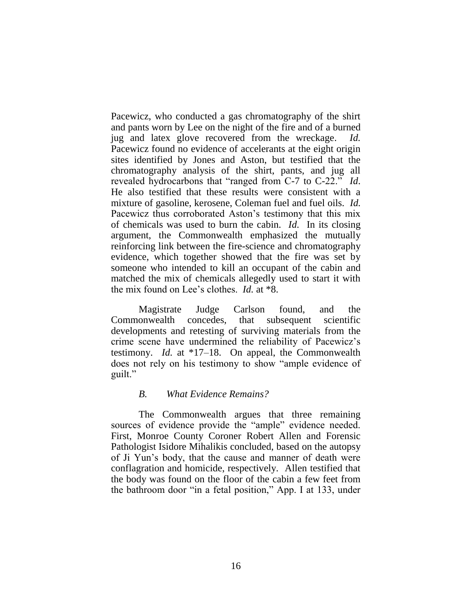Pacewicz, who conducted a gas chromatography of the shirt and pants worn by Lee on the night of the fire and of a burned jug and latex glove recovered from the wreckage. *Id.* Pacewicz found no evidence of accelerants at the eight origin sites identified by Jones and Aston, but testified that the chromatography analysis of the shirt, pants, and jug all revealed hydrocarbons that "ranged from C-7 to C-22." *Id*. He also testified that these results were consistent with a mixture of gasoline, kerosene, Coleman fuel and fuel oils. *Id.* Pacewicz thus corroborated Aston's testimony that this mix of chemicals was used to burn the cabin. *Id.* In its closing argument, the Commonwealth emphasized the mutually reinforcing link between the fire-science and chromatography evidence, which together showed that the fire was set by someone who intended to kill an occupant of the cabin and matched the mix of chemicals allegedly used to start it with the mix found on Lee's clothes. *Id.* at \*8.

Magistrate Judge Carlson found, and the Commonwealth concedes, that subsequent scientific developments and retesting of surviving materials from the crime scene have undermined the reliability of Pacewicz's testimony. *Id.* at \*17–18. On appeal, the Commonwealth does not rely on his testimony to show "ample evidence of guilt."

## *B. What Evidence Remains?*

The Commonwealth argues that three remaining sources of evidence provide the "ample" evidence needed. First, Monroe County Coroner Robert Allen and Forensic Pathologist Isidore Mihalikis concluded, based on the autopsy of Ji Yun's body, that the cause and manner of death were conflagration and homicide, respectively. Allen testified that the body was found on the floor of the cabin a few feet from the bathroom door "in a fetal position," App. I at 133, under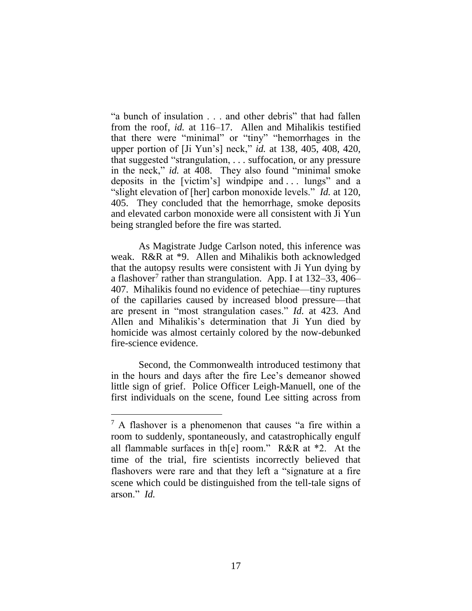"a bunch of insulation . . . and other debris" that had fallen from the roof, *id.* at 116–17. Allen and Mihalikis testified that there were "minimal" or "tiny" "hemorrhages in the upper portion of [Ji Yun's] neck," *id.* at 138, 405, 408, 420, that suggested "strangulation, . . . suffocation, or any pressure in the neck," *id.* at 408. They also found "minimal smoke deposits in the [victim's] windpipe and . . . lungs" and a "slight elevation of [her] carbon monoxide levels." *Id.* at 120, 405. They concluded that the hemorrhage, smoke deposits and elevated carbon monoxide were all consistent with Ji Yun being strangled before the fire was started.

As Magistrate Judge Carlson noted, this inference was weak. R&R at \*9. Allen and Mihalikis both acknowledged that the autopsy results were consistent with Ji Yun dying by a flashover<sup>7</sup> rather than strangulation. App. I at 132–33, 406– 407. Mihalikis found no evidence of petechiae—tiny ruptures of the capillaries caused by increased blood pressure—that are present in "most strangulation cases." *Id.* at 423. And Allen and Mihalikis's determination that Ji Yun died by homicide was almost certainly colored by the now-debunked fire-science evidence.

Second, the Commonwealth introduced testimony that in the hours and days after the fire Lee's demeanor showed little sign of grief. Police Officer Leigh-Manuell, one of the first individuals on the scene, found Lee sitting across from

 $<sup>7</sup>$  A flashover is a phenomenon that causes "a fire within a</sup> room to suddenly, spontaneously, and catastrophically engulf all flammable surfaces in th[e] room." R&R at \*2. At the time of the trial, fire scientists incorrectly believed that flashovers were rare and that they left a "signature at a fire scene which could be distinguished from the tell-tale signs of arson." *Id.*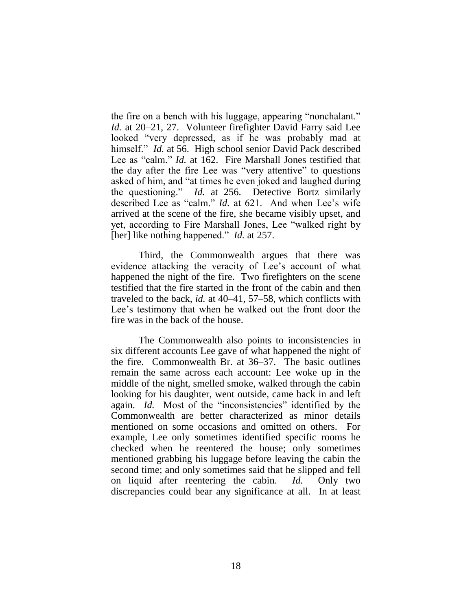the fire on a bench with his luggage, appearing "nonchalant." *Id.* at 20–21, 27. Volunteer firefighter David Farry said Lee looked "very depressed, as if he was probably mad at himself." *Id.* at 56. High school senior David Pack described Lee as "calm." *Id.* at 162. Fire Marshall Jones testified that the day after the fire Lee was "very attentive" to questions asked of him, and "at times he even joked and laughed during the questioning." *Id.* at 256. Detective Bortz similarly described Lee as "calm." *Id.* at 621. And when Lee's wife arrived at the scene of the fire, she became visibly upset, and yet, according to Fire Marshall Jones, Lee "walked right by [her] like nothing happened." *Id.* at 257.

Third, the Commonwealth argues that there was evidence attacking the veracity of Lee's account of what happened the night of the fire. Two firefighters on the scene testified that the fire started in the front of the cabin and then traveled to the back, *id.* at 40–41, 57–58, which conflicts with Lee's testimony that when he walked out the front door the fire was in the back of the house.

The Commonwealth also points to inconsistencies in six different accounts Lee gave of what happened the night of the fire. Commonwealth Br. at 36–37. The basic outlines remain the same across each account: Lee woke up in the middle of the night, smelled smoke, walked through the cabin looking for his daughter, went outside, came back in and left again. *Id.* Most of the "inconsistencies" identified by the Commonwealth are better characterized as minor details mentioned on some occasions and omitted on others. For example, Lee only sometimes identified specific rooms he checked when he reentered the house; only sometimes mentioned grabbing his luggage before leaving the cabin the second time; and only sometimes said that he slipped and fell on liquid after reentering the cabin. *Id.* Only two discrepancies could bear any significance at all. In at least